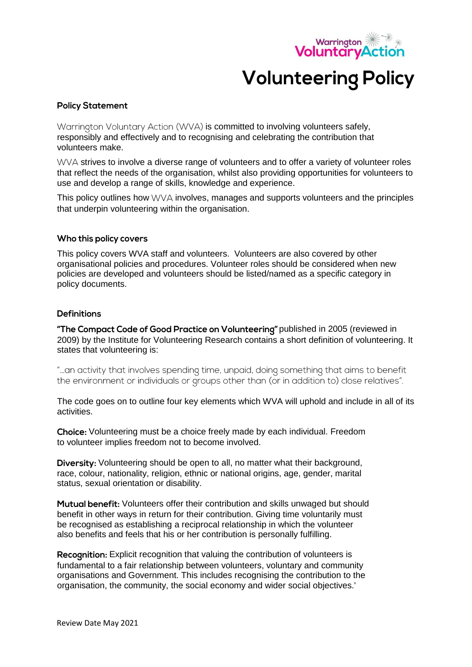

# **Volunteering Policy**

## **Policy Statement**

Warrington Voluntary Action (WVA) is committed to involving volunteers safely, responsibly and effectively and to recognising and celebrating the contribution that volunteers make.

 $VV/A$  strives to involve a diverse range of volunteers and to offer a variety of volunteer roles that reflect the needs of the organisation, whilst also providing opportunities for volunteers to use and develop a range of skills, knowledge and experience.

This policy outlines how  $\forall \forall \forall A$  involves, manages and supports volunteers and the principles that underpin volunteering within the organisation.

#### Who this policy covers

This policy covers WVA staff and volunteers. Volunteers are also covered by other organisational policies and procedures. Volunteer roles should be considered when new policies are developed and volunteers should be listed/named as a specific category in policy documents.

## **Definitions**

"The Compact Code of Good Practice on Volunteering" published in 2005 (reviewed in 2009) by the Institute for Volunteering Research contains a short definition of volunteering. It states that volunteering is:

"...an activity that involves spending time, unpaid, doing something that aims to benefit the environment or individuals or groups other than (or in addition to) close relatives".

The code goes on to outline four key elements which WVA will uphold and include in all of its activities.

Choice: Volunteering must be a choice freely made by each individual. Freedom to volunteer implies freedom not to become involved.

Diversity: Volunteering should be open to all, no matter what their background, race, colour, nationality, religion, ethnic or national origins, age, gender, marital status, sexual orientation or disability.

Mutual benefit: Volunteers offer their contribution and skills unwaged but should benefit in other ways in return for their contribution. Giving time voluntarily must be recognised as establishing a reciprocal relationship in which the volunteer also benefits and feels that his or her contribution is personally fulfilling.

Recognition: Explicit recognition that valuing the contribution of volunteers is fundamental to a fair relationship between volunteers, voluntary and community organisations and Government. This includes recognising the contribution to the organisation, the community, the social economy and wider social objectives.'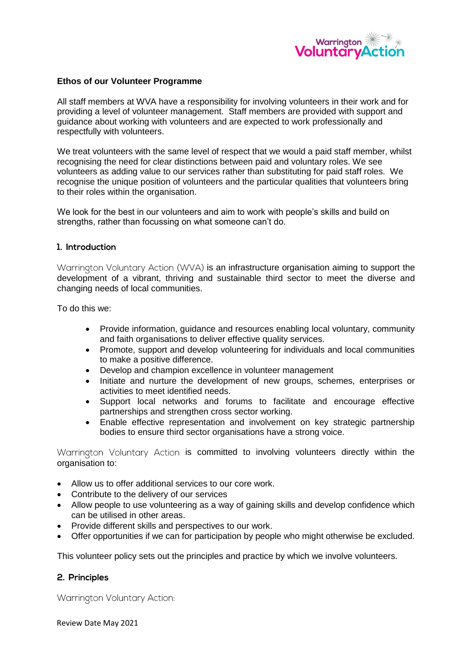

#### **Ethos of our Volunteer Programme**

All staff members at WVA have a responsibility for involving volunteers in their work and for providing a level of volunteer management. Staff members are provided with support and guidance about working with volunteers and are expected to work professionally and respectfully with volunteers.

We treat volunteers with the same level of respect that we would a paid staff member, whilst recognising the need for clear distinctions between paid and voluntary roles. We see volunteers as adding value to our services rather than substituting for paid staff roles. We recognise the unique position of volunteers and the particular qualities that volunteers bring to their roles within the organisation.

We look for the best in our volunteers and aim to work with people's skills and build on strengths, rather than focussing on what someone can't do.

#### 1. Introduction

Warrington Voluntary Action (WVA) is an infrastructure organisation aiming to support the development of a vibrant, thriving and sustainable third sector to meet the diverse and changing needs of local communities.

To do this we:

- Provide information, guidance and resources enabling local voluntary, community and faith organisations to deliver effective quality services.
- Promote, support and develop volunteering for individuals and local communities to make a positive difference.
- Develop and champion excellence in volunteer management
- Initiate and nurture the development of new groups, schemes, enterprises or activities to meet identified needs.
- Support local networks and forums to facilitate and encourage effective partnerships and strengthen cross sector working.
- Enable effective representation and involvement on key strategic partnership bodies to ensure third sector organisations have a strong voice.

Warrington Voluntary Action is committed to involving volunteers directly within the organisation to:

- Allow us to offer additional services to our core work.
- Contribute to the delivery of our services
- Allow people to use volunteering as a way of gaining skills and develop confidence which can be utilised in other areas.
- Provide different skills and perspectives to our work.
- Offer opportunities if we can for participation by people who might otherwise be excluded.

This volunteer policy sets out the principles and practice by which we involve volunteers.

## 2. Principles

Warrington Voluntary Action:

Review Date May 2021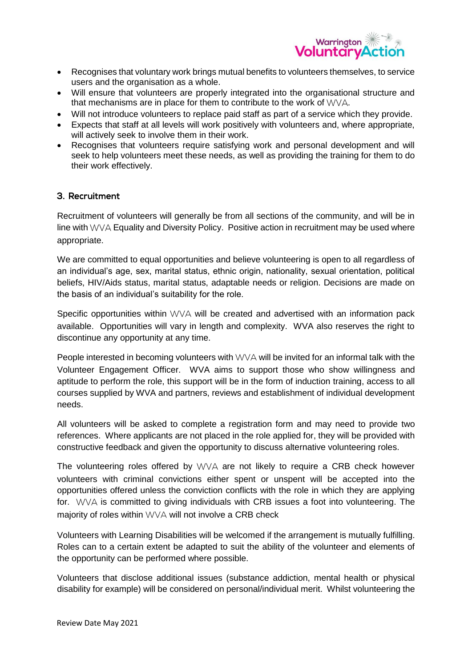

- Recognises that voluntary work brings mutual benefits to volunteers themselves, to service users and the organisation as a whole.
- Will ensure that volunteers are properly integrated into the organisational structure and that mechanisms are in place for them to contribute to the work of  $VVVA$ .
- Will not introduce volunteers to replace paid staff as part of a service which they provide.
- Expects that staff at all levels will work positively with volunteers and, where appropriate, will actively seek to involve them in their work.
- Recognises that volunteers require satisfying work and personal development and will seek to help volunteers meet these needs, as well as providing the training for them to do their work effectively.

# 3. Recruitment

Recruitment of volunteers will generally be from all sections of the community, and will be in line with WVA Equality and Diversity Policy. Positive action in recruitment may be used where appropriate.

We are committed to equal opportunities and believe volunteering is open to all regardless of an individual's age, sex, marital status, ethnic origin, nationality, sexual orientation, political beliefs, HIV/Aids status, marital status, adaptable needs or religion. Decisions are made on the basis of an individual's suitability for the role.

Specific opportunities within  $WVA$  will be created and advertised with an information pack available. Opportunities will vary in length and complexity. WVA also reserves the right to discontinue any opportunity at any time.

People interested in becoming volunteers with  $\vee\vee\wedge$  will be invited for an informal talk with the Volunteer Engagement Officer. WVA aims to support those who show willingness and aptitude to perform the role, this support will be in the form of induction training, access to all courses supplied by WVA and partners, reviews and establishment of individual development needs.

All volunteers will be asked to complete a registration form and may need to provide two references. Where applicants are not placed in the role applied for, they will be provided with constructive feedback and given the opportunity to discuss alternative volunteering roles.

The volunteering roles offered by  $WVA$  are not likely to require a CRB check however volunteers with criminal convictions either spent or unspent will be accepted into the opportunities offered unless the conviction conflicts with the role in which they are applying for.  $WWA$  is committed to giving individuals with CRB issues a foot into volunteering. The majority of roles within WVA will not involve a CRB check

Volunteers with Learning Disabilities will be welcomed if the arrangement is mutually fulfilling. Roles can to a certain extent be adapted to suit the ability of the volunteer and elements of the opportunity can be performed where possible.

Volunteers that disclose additional issues (substance addiction, mental health or physical disability for example) will be considered on personal/individual merit. Whilst volunteering the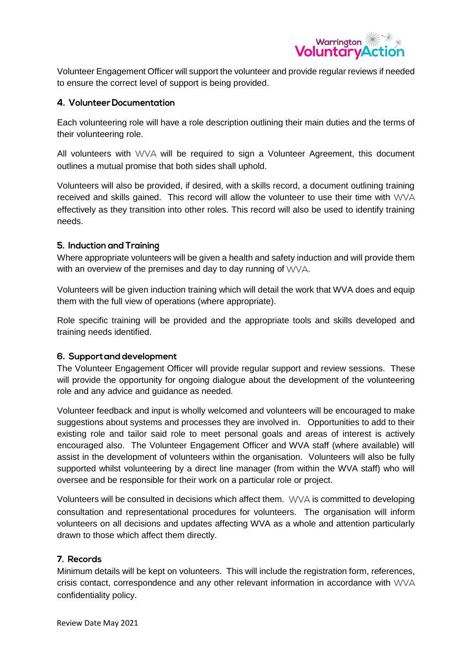

Volunteer Engagement Officer will support the volunteer and provide regular reviews if needed to ensure the correct level of support is being provided.

# 4. Volunteer Documentation

Each volunteering role will have a role description outlining their main duties and the terms of their volunteering role.

All volunteers with  $WVA$  will be required to sign a Volunteer Agreement, this document outlines a mutual promise that both sides shall uphold.

Volunteers will also be provided, if desired, with a skills record, a document outlining training received and skills gained. This record will allow the volunteer to use their time with  $WVA$ effectively as they transition into other roles. This record will also be used to identify training needs.

## 5. Induction and Training

Where appropriate volunteers will be given a health and safety induction and will provide them with an overview of the premises and day to day running of  $WVA$ .

Volunteers will be given induction training which will detail the work that WVA does and equip them with the full view of operations (where appropriate).

Role specific training will be provided and the appropriate tools and skills developed and training needs identified.

## 6. Support and development

The Volunteer Engagement Officer will provide regular support and review sessions. These will provide the opportunity for ongoing dialogue about the development of the volunteering role and any advice and guidance as needed.

Volunteer feedback and input is wholly welcomed and volunteers will be encouraged to make suggestions about systems and processes they are involved in. Opportunities to add to their existing role and tailor said role to meet personal goals and areas of interest is actively encouraged also. The Volunteer Engagement Officer and WVA staff (where available) will assist in the development of volunteers within the organisation. Volunteers will also be fully supported whilst volunteering by a direct line manager (from within the WVA staff) who will oversee and be responsible for their work on a particular role or project.

Volunteers will be consulted in decisions which affect them.  $VVVA$  is committed to developing consultation and representational procedures for volunteers. The organisation will inform volunteers on all decisions and updates affecting WVA as a whole and attention particularly drawn to those which affect them directly.

## 7. Records

Minimum details will be kept on volunteers. This will include the registration form, references, crisis contact, correspondence and any other relevant information in accordance with  $WVA$ confidentiality policy.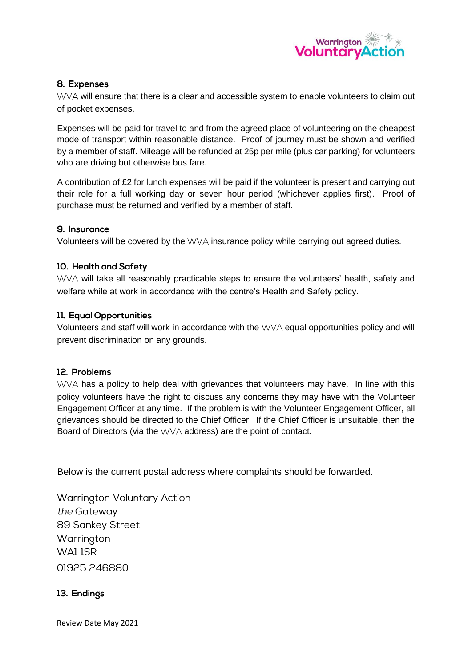

# 8. Expenses

WVA will ensure that there is a clear and accessible system to enable volunteers to claim out of pocket expenses.

Expenses will be paid for travel to and from the agreed place of volunteering on the cheapest mode of transport within reasonable distance. Proof of journey must be shown and verified by a member of staff. Mileage will be refunded at 25p per mile (plus car parking) for volunteers who are driving but otherwise bus fare.

A contribution of £2 for lunch expenses will be paid if the volunteer is present and carrying out their role for a full working day or seven hour period (whichever applies first). Proof of purchase must be returned and verified by a member of staff.

## 9. Insurance

Volunteers will be covered by the  $VV\Delta$  insurance policy while carrying out agreed duties.

# 10. Health and Safety

WVA will take all reasonably practicable steps to ensure the volunteers' health, safety and welfare while at work in accordance with the centre's Health and Safety policy.

# 11. Equal Opportunities

Volunteers and staff will work in accordance with the WVA equal opportunities policy and will prevent discrimination on any grounds.

## 12. Problems

 $WVA$  has a policy to help deal with grievances that volunteers may have. In line with this policy volunteers have the right to discuss any concerns they may have with the Volunteer Engagement Officer at any time. If the problem is with the Volunteer Engagement Officer, all grievances should be directed to the Chief Officer. If the Chief Officer is unsuitable, then the Board of Directors (via the  $VV/A$  address) are the point of contact.

Below is the current postal address where complaints should be forwarded.

**Warrington Voluntary Action** the Gateway 89 Sankey Street Warrington WAI ISR 01925 246880

# 13. Endings

Review Date May 2021